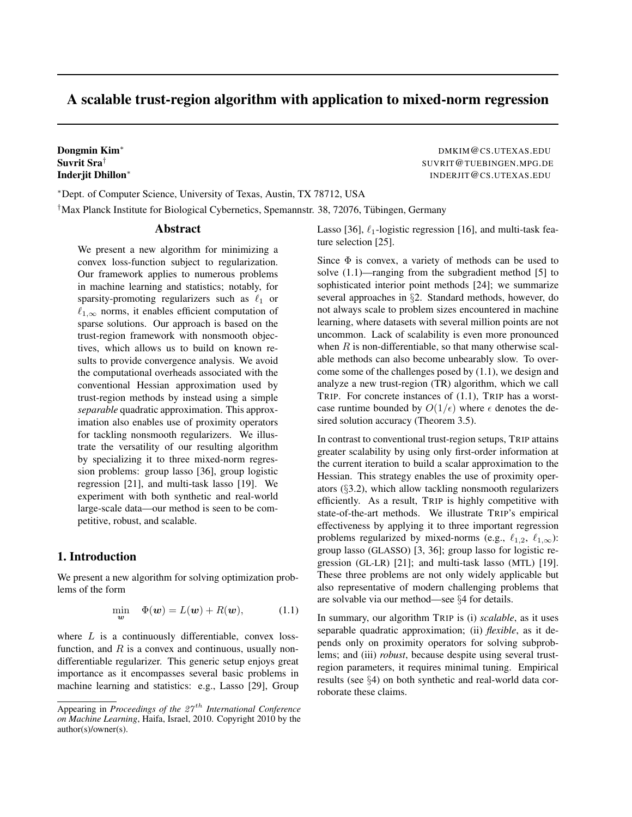## A scalable trust-region algorithm with application to mixed-norm regression

# Suvrit Sra† Inderjit Dhillon<sup>∗</sup>

Dongmin Kim<sup>∗</sup> DMKIM@CS.UTEXAS.EDU SUVRIT@TUEBINGEN.MPG.DE INDERJIT@CS.UTEXAS.EDU

<sup>∗</sup>Dept. of Computer Science, University of Texas, Austin, TX 78712, USA †Max Planck Institute for Biological Cybernetics, Spemannstr. 38, 72076, Tubingen, Germany ¨

## Abstract

We present a new algorithm for minimizing a convex loss-function subject to regularization. Our framework applies to numerous problems in machine learning and statistics; notably, for sparsity-promoting regularizers such as  $\ell_1$  or  $\ell_{1,\infty}$  norms, it enables efficient computation of sparse solutions. Our approach is based on the trust-region framework with nonsmooth objectives, which allows us to build on known results to provide convergence analysis. We avoid the computational overheads associated with the conventional Hessian approximation used by trust-region methods by instead using a simple *separable* quadratic approximation. This approximation also enables use of proximity operators for tackling nonsmooth regularizers. We illustrate the versatility of our resulting algorithm by specializing it to three mixed-norm regression problems: group lasso [36], group logistic regression [21], and multi-task lasso [19]. We experiment with both synthetic and real-world large-scale data—our method is seen to be competitive, robust, and scalable.

## 1. Introduction

We present a new algorithm for solving optimization problems of the form

$$
\min_{\mathbf{w}} \quad \Phi(\mathbf{w}) = L(\mathbf{w}) + R(\mathbf{w}), \tag{1.1}
$$

where  $L$  is a continuously differentiable, convex lossfunction, and  $R$  is a convex and continuous, usually nondifferentiable regularizer. This generic setup enjoys great importance as it encompasses several basic problems in machine learning and statistics: e.g., Lasso [29], Group Lasso [36],  $\ell_1$ -logistic regression [16], and multi-task feature selection [25].

Since  $\Phi$  is convex, a variety of methods can be used to solve (1.1)—ranging from the subgradient method [5] to sophisticated interior point methods [24]; we summarize several approaches in §2. Standard methods, however, do not always scale to problem sizes encountered in machine learning, where datasets with several million points are not uncommon. Lack of scalability is even more pronounced when  $R$  is non-differentiable, so that many otherwise scalable methods can also become unbearably slow. To overcome some of the challenges posed by (1.1), we design and analyze a new trust-region (TR) algorithm, which we call TRIP. For concrete instances of (1.1), TRIP has a worstcase runtime bounded by  $O(1/\epsilon)$  where  $\epsilon$  denotes the desired solution accuracy (Theorem 3.5).

In contrast to conventional trust-region setups, TRIP attains greater scalability by using only first-order information at the current iteration to build a scalar approximation to the Hessian. This strategy enables the use of proximity operators (§3.2), which allow tackling nonsmooth regularizers efficiently. As a result, TRIP is highly competitive with state-of-the-art methods. We illustrate TRIP's empirical effectiveness by applying it to three important regression problems regularized by mixed-norms (e.g.,  $\ell_{1,2}$ ,  $\ell_{1,\infty}$ ): group lasso (GLASSO) [3, 36]; group lasso for logistic regression (GL-LR) [21]; and multi-task lasso (MTL) [19]. These three problems are not only widely applicable but also representative of modern challenging problems that are solvable via our method—see §4 for details.

In summary, our algorithm TRIP is (i) *scalable*, as it uses separable quadratic approximation; (ii) *flexible*, as it depends only on proximity operators for solving subproblems; and (iii) *robust*, because despite using several trustregion parameters, it requires minimal tuning. Empirical results (see §4) on both synthetic and real-world data corroborate these claims.

Appearing in *Proceedings of the* 27 th *International Conference on Machine Learning*, Haifa, Israel, 2010. Copyright 2010 by the author(s)/owner(s).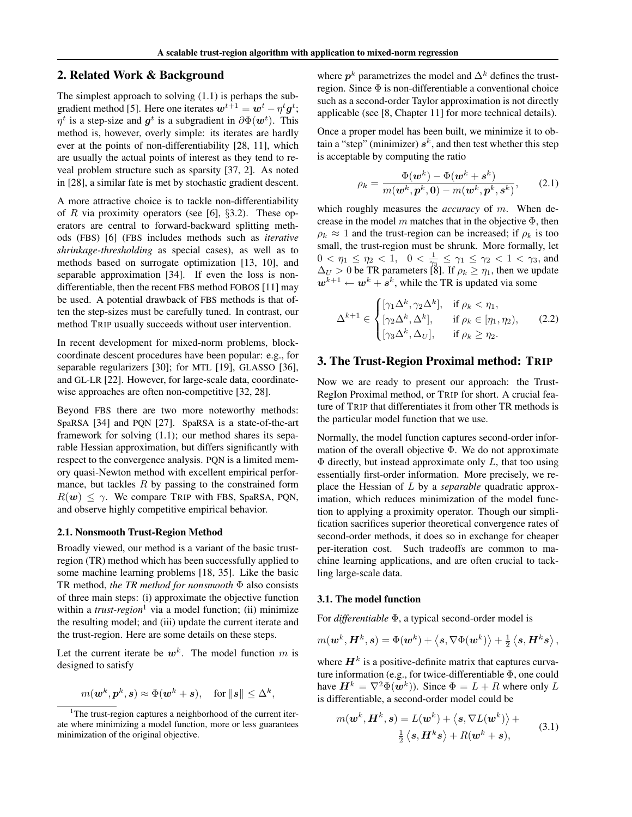## 2. Related Work & Background

The simplest approach to solving (1.1) is perhaps the subgradient method [5]. Here one iterates  $\boldsymbol{w}^{t+1} = \boldsymbol{w}^{t} - \eta^{t} \boldsymbol{g}^{t}$ ;  $\eta^t$  is a step-size and  $g^t$  is a subgradient in  $\partial \Phi(\boldsymbol{w}^t)$ . This method is, however, overly simple: its iterates are hardly ever at the points of non-differentiability [28, 11], which are usually the actual points of interest as they tend to reveal problem structure such as sparsity [37, 2]. As noted in [28], a similar fate is met by stochastic gradient descent.

A more attractive choice is to tackle non-differentiability of R via proximity operators (see [6],  $\S$ 3.2). These operators are central to forward-backward splitting methods (FBS) [6] (FBS includes methods such as *iterative shrinkage-thresholding* as special cases), as well as to methods based on surrogate optimization [13, 10], and separable approximation [34]. If even the loss is nondifferentiable, then the recent FBS method FOBOS [11] may be used. A potential drawback of FBS methods is that often the step-sizes must be carefully tuned. In contrast, our method TRIP usually succeeds without user intervention.

In recent development for mixed-norm problems, blockcoordinate descent procedures have been popular: e.g., for separable regularizers [30]; for MTL [19], GLASSO [36], and GL-LR [22]. However, for large-scale data, coordinatewise approaches are often non-competitive [32, 28].

Beyond FBS there are two more noteworthy methods: SpaRSA [34] and PQN [27]. SpaRSA is a state-of-the-art framework for solving (1.1); our method shares its separable Hessian approximation, but differs significantly with respect to the convergence analysis. PQN is a limited memory quasi-Newton method with excellent empirical performance, but tackles  $R$  by passing to the constrained form  $R(\mathbf{w}) \leq \gamma$ . We compare TRIP with FBS, SpaRSA, PQN, and observe highly competitive empirical behavior.

#### 2.1. Nonsmooth Trust-Region Method

Broadly viewed, our method is a variant of the basic trustregion (TR) method which has been successfully applied to some machine learning problems [18, 35]. Like the basic TR method, *the TR method for nonsmooth* Φ also consists of three main steps: (i) approximate the objective function within a *trust-region*<sup>1</sup> via a model function; (ii) minimize the resulting model; and (iii) update the current iterate and the trust-region. Here are some details on these steps.

Let the current iterate be  $w^k$ . The model function m is designed to satisfy

$$
m(\boldsymbol{w}^k, \boldsymbol{p}^k, \boldsymbol{s}) \approx \Phi(\boldsymbol{w}^k + \boldsymbol{s}), \quad \text{for } \|\boldsymbol{s}\| \leq \Delta^k,
$$

where  $p^k$  parametrizes the model and  $\Delta^k$  defines the trustregion. Since Φ is non-differentiable a conventional choice such as a second-order Taylor approximation is not directly applicable (see [8, Chapter 11] for more technical details).

Once a proper model has been built, we minimize it to obtain a "step" (minimizer)  $s^k$ , and then test whether this step is acceptable by computing the ratio

$$
\rho_k = \frac{\Phi(\boldsymbol{w}^k) - \Phi(\boldsymbol{w}^k + \boldsymbol{s}^k)}{m(\boldsymbol{w}^k, \boldsymbol{p}^k, \boldsymbol{0}) - m(\boldsymbol{w}^k, \boldsymbol{p}^k, \boldsymbol{s}^k)},
$$
(2.1)

which roughly measures the *accuracy* of m. When decrease in the model  $m$  matches that in the objective  $\Phi$ , then  $\rho_k \approx 1$  and the trust-region can be increased; if  $\rho_k$  is too small, the trust-region must be shrunk. More formally, let  $0 < \eta_1 \leq \eta_2 < 1$ ,  $0 < \frac{1}{\gamma_3} \leq \gamma_1 \leq \gamma_2 < 1 < \gamma_3$ , and  $\Delta_U > 0$  be TR parameters [8]. If  $\rho_k \geq \eta_1$ , then we update  $\mathbf{w}^{k+1} \leftarrow \mathbf{w}^k + \mathbf{s}^k$ , while the TR is updated via some

$$
\Delta^{k+1} \in \begin{cases} [\gamma_1 \Delta^k, \gamma_2 \Delta^k], & \text{if } \rho_k < \eta_1, \\ [\gamma_2 \Delta^k, \Delta^k], & \text{if } \rho_k \in [\eta_1, \eta_2), \\ [\gamma_3 \Delta^k, \Delta_U], & \text{if } \rho_k \ge \eta_2. \end{cases}
$$
(2.2)

## 3. The Trust-Region Proximal method: TRIP

Now we are ready to present our approach: the Trust-RegIon Proximal method, or TRIP for short. A crucial feature of TRIP that differentiates it from other TR methods is the particular model function that we use.

Normally, the model function captures second-order information of the overall objective  $\Phi$ . We do not approximate  $\Phi$  directly, but instead approximate only L, that too using essentially first-order information. More precisely, we replace the Hessian of L by a *separable* quadratic approximation, which reduces minimization of the model function to applying a proximity operator. Though our simplification sacrifices superior theoretical convergence rates of second-order methods, it does so in exchange for cheaper per-iteration cost. Such tradeoffs are common to machine learning applications, and are often crucial to tackling large-scale data.

#### 3.1. The model function

For *differentiable* Φ, a typical second-order model is

$$
m(\boldsymbol{w}^k,\boldsymbol{H}^k,\boldsymbol{s})=\Phi(\boldsymbol{w}^k)+\left\langle \boldsymbol{s},\nabla\Phi(\boldsymbol{w}^k)\right\rangle+\tfrac{1}{2}\left\langle \boldsymbol{s},\boldsymbol{H}^k\boldsymbol{s}\right\rangle,
$$

where  $H^k$  is a positive-definite matrix that captures curvature information (e.g., for twice-differentiable Φ, one could have  $H^k = \nabla^2 \Phi(w^k)$ ). Since  $\Phi = L + R$  where only  $L$ is differentiable, a second-order model could be

$$
m(\boldsymbol{w}^k, \boldsymbol{H}^k, \boldsymbol{s}) = L(\boldsymbol{w}^k) + \langle \boldsymbol{s}, \nabla L(\boldsymbol{w}^k) \rangle +
$$
  

$$
\frac{1}{2} \langle \boldsymbol{s}, \boldsymbol{H}^k \boldsymbol{s} \rangle + R(\boldsymbol{w}^k + \boldsymbol{s}),
$$
 (3.1)

<sup>&</sup>lt;sup>1</sup>The trust-region captures a neighborhood of the current iterate where minimizing a model function, more or less guarantees minimization of the original objective.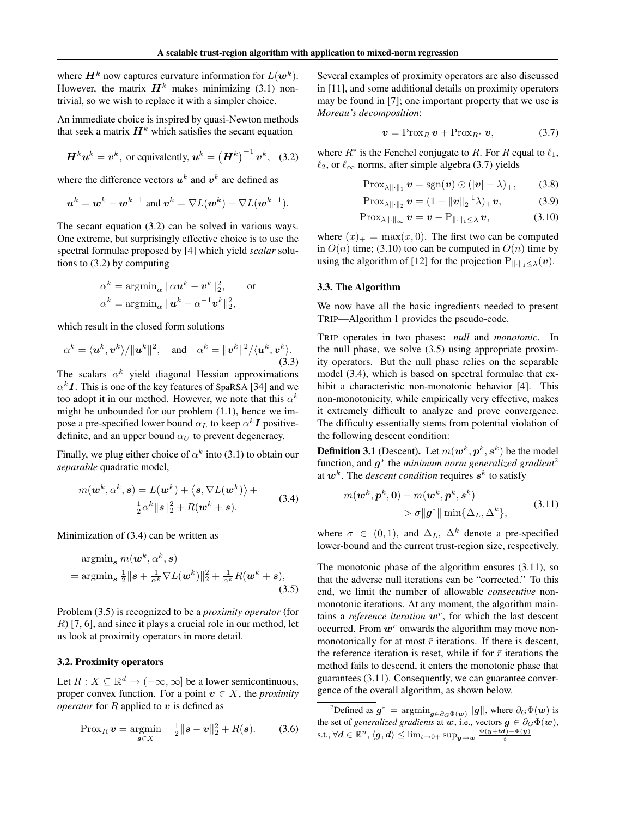where  $H^k$  now captures curvature information for  $L(\boldsymbol{w}^k)$ . However, the matrix  $H^k$  makes minimizing (3.1) nontrivial, so we wish to replace it with a simpler choice.

An immediate choice is inspired by quasi-Newton methods that seek a matrix  $H^k$  which satisfies the secant equation

$$
\boldsymbol{H}^{k}\boldsymbol{u}^{k}=\boldsymbol{v}^{k}, \text{ or equivalently, } \boldsymbol{u}^{k}=\left(\boldsymbol{H}^{k}\right)^{-1}\boldsymbol{v}^{k}, \quad (3.2)
$$

where the difference vectors  $u^k$  and  $v^k$  are defined as

$$
\boldsymbol{u}^k = \boldsymbol{w}^k - \boldsymbol{w}^{k-1} \text{ and } \boldsymbol{v}^k = \nabla L(\boldsymbol{w}^k) - \nabla L(\boldsymbol{w}^{k-1}).
$$

The secant equation (3.2) can be solved in various ways. One extreme, but surprisingly effective choice is to use the spectral formulae proposed by [4] which yield *scalar* solutions to (3.2) by computing

$$
\alpha^k = \operatorname{argmin}_{\alpha} \|\alpha \boldsymbol{u}^k - \boldsymbol{v}^k\|_2^2, \qquad \text{or} \qquad
$$

$$
\alpha^k = \operatorname{argmin}_{\alpha} \|\boldsymbol{u}^k - \alpha^{-1} \boldsymbol{v}^k\|_2^2,
$$

which result in the closed form solutions

$$
\alpha^k = \langle \boldsymbol{u}^k, \boldsymbol{v}^k \rangle / \|\boldsymbol{u}^k\|^2, \quad \text{and} \quad \alpha^k = \|\boldsymbol{v}^k\|^2 / \langle \boldsymbol{u}^k, \boldsymbol{v}^k \rangle. \tag{3.3}
$$

The scalars  $\alpha^k$  yield diagonal Hessian approximations  $\alpha^k I$ . This is one of the key features of SpaRSA [34] and we too adopt it in our method. However, we note that this  $\alpha^k$ might be unbounded for our problem (1.1), hence we impose a pre-specified lower bound  $\alpha_L$  to keep  $\alpha^k I$  positivedefinite, and an upper bound  $\alpha_U$  to prevent degeneracy.

Finally, we plug either choice of  $\alpha^k$  into (3.1) to obtain our *separable* quadratic model,

$$
m(\boldsymbol{w}^k, \alpha^k, \boldsymbol{s}) = L(\boldsymbol{w}^k) + \langle \boldsymbol{s}, \nabla L(\boldsymbol{w}^k) \rangle +
$$
  

$$
\frac{1}{2} \alpha^k ||\boldsymbol{s}||_2^2 + R(\boldsymbol{w}^k + \boldsymbol{s}).
$$
 (3.4)

Minimization of (3.4) can be written as

$$
\begin{aligned} \operatorname{argmin}_{\mathbf{s}} & m(\mathbf{w}^k, \alpha^k, \mathbf{s}) \\ &= \operatorname{argmin}_{\mathbf{s}} \frac{1}{2} \|\mathbf{s} + \frac{1}{\alpha^k} \nabla L(\mathbf{w}^k) \|_2^2 + \frac{1}{\alpha^k} R(\mathbf{w}^k + \mathbf{s}), \end{aligned} \tag{3.5}
$$

Problem (3.5) is recognized to be a *proximity operator* (for R) [7, 6], and since it plays a crucial role in our method, let us look at proximity operators in more detail.

#### 3.2. Proximity operators

Let  $R: X \subseteq \mathbb{R}^d \to (-\infty, \infty]$  be a lower semicontinuous, proper convex function. For a point  $v \in X$ , the *proximity operator* for  $R$  applied to  $v$  is defined as

$$
\text{Prox}_R \, \bm{v} = \underset{\bm{s} \in X}{\text{argmin}} \quad \frac{1}{2} \| \bm{s} - \bm{v} \|_2^2 + R(\bm{s}). \tag{3.6}
$$

Several examples of proximity operators are also discussed in [11], and some additional details on proximity operators may be found in [7]; one important property that we use is *Moreau's decomposition*:

$$
\mathbf{v} = \text{Prox}_R \, \mathbf{v} + \text{Prox}_{R^*} \, \mathbf{v},\tag{3.7}
$$

where  $R^*$  is the Fenchel conjugate to R. For R equal to  $\ell_1$ ,  $\ell_2$ , or  $\ell_{\infty}$  norms, after simple algebra (3.7) yields

$$
\text{Prox}_{\lambda\|\cdot\|_1} \mathbf{v} = \text{sgn}(\mathbf{v}) \odot (|\mathbf{v}| - \lambda)_+, \qquad (3.8)
$$

$$
\text{Prox}_{\lambda \| \cdot \|_2} \, \boldsymbol{v} = (1 - \| \boldsymbol{v} \|_2^{-1} \lambda)_+ \boldsymbol{v}, \tag{3.9}
$$

$$
\text{Prox}_{\lambda \|\cdot\|_{\infty}} \boldsymbol{v} = \boldsymbol{v} - \text{P}_{\|\cdot\|_{1} \leq \lambda} \boldsymbol{v},\tag{3.10}
$$

where  $(x)_+$  = max $(x, 0)$ . The first two can be computed in  $O(n)$  time; (3.10) too can be computed in  $O(n)$  time by using the algorithm of [12] for the projection  $P_{\|\cdot\|_1\leq \lambda}(v)$ .

#### 3.3. The Algorithm

We now have all the basic ingredients needed to present TRIP—Algorithm 1 provides the pseudo-code.

TRIP operates in two phases: *null* and *monotonic*. In the null phase, we solve (3.5) using appropriate proximity operators. But the null phase relies on the separable model (3.4), which is based on spectral formulae that exhibit a characteristic non-monotonic behavior [4]. This non-monotonicity, while empirically very effective, makes it extremely difficult to analyze and prove convergence. The difficulty essentially stems from potential violation of the following descent condition:

**Definition 3.1** (Descent). Let  $m(\boldsymbol{w}^k, \boldsymbol{p}^k, \boldsymbol{s}^k)$  be the model function, and  $g^*$  the *minimum norm generalized gradient<sup>2</sup>* at  $w^k$ . The *descent condition* requires  $s^k$  to satisfy

$$
m(\boldsymbol{w}^k, \boldsymbol{p}^k, \mathbf{0}) - m(\boldsymbol{w}^k, \boldsymbol{p}^k, \boldsymbol{s}^k)
$$
  
>  $\sigma || \boldsymbol{g}^* || \min \{\Delta_L, \Delta^k\},$  (3.11)

where  $\sigma \in (0,1)$ , and  $\Delta_L$ ,  $\Delta^k$  denote a pre-specified lower-bound and the current trust-region size, respectively.

The monotonic phase of the algorithm ensures (3.11), so that the adverse null iterations can be "corrected." To this end, we limit the number of allowable *consecutive* nonmonotonic iterations. At any moment, the algorithm maintains a *reference iteration*  $w^r$ , for which the last descent occurred. From  $w<sup>r</sup>$  onwards the algorithm may move nonmonotonically for at most  $\bar{r}$  iterations. If there is descent, the reference iteration is reset, while if for  $\bar{r}$  iterations the method fails to descend, it enters the monotonic phase that guarantees (3.11). Consequently, we can guarantee convergence of the overall algorithm, as shown below.

<sup>&</sup>lt;sup>2</sup>Defined as  $g^* = \operatorname{argmin}_{g \in \partial_G \Phi(w)} \|g\|$ , where  $\partial_G \Phi(w)$  is the set of *generalized gradients* at w, i.e., vectors  $g \in \partial_G \Phi(w)$ , s.t.,  $\forall \boldsymbol{d} \in \mathbb{R}^n, \langle \boldsymbol{g}, \boldsymbol{d} \rangle \leq \lim_{t \to 0+} \sup_{\boldsymbol{y} \to \boldsymbol{w}} \frac{\Phi(\boldsymbol{y}+t\boldsymbol{d})-\Phi(\boldsymbol{y})}{t}$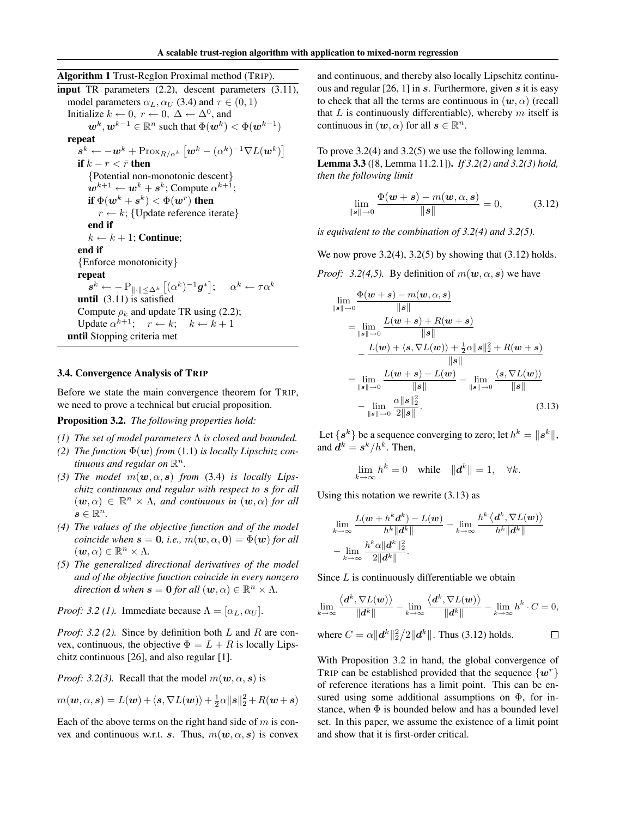Algorithm 1 Trust-RegIon Proximal method (TRIP). input TR parameters (2.2), descent parameters (3.11), model parameters  $\alpha_L, \alpha_U$  (3.4) and  $\tau \in (0, 1)$ Initialize  $k \leftarrow 0$ ,  $r \leftarrow 0$ ,  $\Delta \leftarrow \Delta^0$ , and  $\boldsymbol{w}^k, \boldsymbol{w}^{k-1} \in \mathbb{R}^n$  such that  $\Phi(\boldsymbol{w}^k) < \Phi(\boldsymbol{w}^{k-1})$ repeat  $\boldsymbol{s}^k \leftarrow -\boldsymbol{w}^k + \text{Prox}_{R/\alpha^k} \left[ \boldsymbol{w}^k - (\alpha^k)^{-1} \nabla L(\boldsymbol{w}^k) \right]$ if  $k - r < \bar{r}$  then {Potential non-monotonic descent}  $\mathbf{w}^{k+1} \leftarrow \mathbf{w}^k + \mathbf{s}^k$ ; Compute  $\alpha^{k+1}$ ; if  $\Phi(\boldsymbol{w}^k + \boldsymbol{s}^k) < \Phi(\boldsymbol{w}^r)$  then  $r \leftarrow k$ ; {Update reference iterate} end if  $k \leftarrow k + 1$ ; Continue; end if {Enforce monotonicity} repeat  $\boldsymbol{s}^k \leftarrow -\mathrm{P}_{\|\cdot\| \leq \Delta^k} \left[ (\alpha^k)^{-1} \boldsymbol{g}^* \right]; \ \ \ \ \alpha^k \leftarrow \tau \alpha^k$ until (3.11) is satisfied Compute  $\rho_k$  and update TR using (2.2); Update  $\alpha^{k+1}$ ;  $r \leftarrow k$ ;  $k \leftarrow k+1$ until Stopping criteria met

## 3.4. Convergence Analysis of TRIP

Before we state the main convergence theorem for TRIP, we need to prove a technical but crucial proposition.

Proposition 3.2. *The following properties hold:*

- *(1) The set of model parameters* Λ *is closed and bounded.*
- *(2) The function*  $\Phi(w)$  *from* (1.1) *is locally Lipschitz continuous and regular on*  $\mathbb{R}^n$ .
- (3) *The model*  $m(\mathbf{w}, \alpha, \mathbf{s})$  *from* (3.4) *is locally Lipschitz continuous and regular with respect to* s *for all*  $(w, \alpha) \in \mathbb{R}^n \times \Lambda$ , and continuous in  $(w, \alpha)$  for all  $s \in \mathbb{R}^n$ .
- *(4) The values of the objective function and of the model coincide when*  $\mathbf{s} = \mathbf{0}$ , *i.e.*,  $m(\mathbf{w}, \alpha, \mathbf{0}) = \Phi(\mathbf{w})$  *for all*  $(\boldsymbol{w}, \alpha) \in \mathbb{R}^n \times \Lambda$ .
- *(5) The generalized directional derivatives of the model and of the objective function coincide in every nonzero direction* **d** when  $s = 0$  for all  $(w, \alpha) \in \mathbb{R}^n \times \Lambda$ .

*Proof: 3.2 (1).* Immediate because  $\Lambda = [\alpha_L, \alpha_U]$ .

*Proof: 3.2 (2).* Since by definition both L and R are convex, continuous, the objective  $\Phi = L + R$  is locally Lipschitz continuous [26], and also regular [1].

*Proof: 3.2(3).* Recall that the model  $m(\mathbf{w}, \alpha, \mathbf{s})$  is

$$
m(\mathbf{w}, \alpha, \mathbf{s}) = L(\mathbf{w}) + \langle \mathbf{s}, \nabla L(\mathbf{w}) \rangle + \frac{1}{2} \alpha ||\mathbf{s}||_2^2 + R(\mathbf{w} + \mathbf{s})
$$

Each of the above terms on the right hand side of  $m$  is convex and continuous w.r.t. s. Thus,  $m(\mathbf{w}, \alpha, \mathbf{s})$  is convex and continuous, and thereby also locally Lipschitz continuous and regular [26, 1] in s. Furthermore, given s it is easy to check that all the terms are continuous in  $(w, \alpha)$  (recall that  $L$  is continuously differentiable), whereby  $m$  itself is continuous in  $(w, \alpha)$  for all  $s \in \mathbb{R}^n$ .

To prove 3.2(4) and 3.2(5) we use the following lemma. Lemma 3.3 ([8, Lemma 11.2.1]). *If 3.2(2) and 3.2(3) hold, then the following limit*

$$
\lim_{\|\bm{s}\| \to 0} \frac{\Phi(\bm{w} + \bm{s}) - m(\bm{w}, \alpha, \bm{s})}{\|\bm{s}\|} = 0, \quad (3.12)
$$

*is equivalent to the combination of 3.2(4) and 3.2(5).*

We now prove  $3.2(4)$ ,  $3.2(5)$  by showing that  $(3.12)$  holds.

*Proof:* 3.2(4,5). By definition of  $m(\mathbf{w}, \alpha, \mathbf{s})$  we have

$$
\lim_{\|s\| \to 0} \frac{\Phi(w+s) - m(w, \alpha, s)}{\|s\|}
$$
\n
$$
= \lim_{\|s\| \to 0} \frac{L(w+s) + R(w+s)}{\|s\|}
$$
\n
$$
- \frac{L(w) + \langle s, \nabla L(w) \rangle + \frac{1}{2}\alpha \|s\|_{2}^{2} + R(w+s)}{\|s\|}
$$
\n
$$
= \lim_{\|s\| \to 0} \frac{L(w+s) - L(w)}{\|s\|} - \lim_{\|s\| \to 0} \frac{\langle s, \nabla L(w) \rangle}{\|s\|}
$$
\n
$$
- \lim_{\|s\| \to 0} \frac{\alpha \|s\|_{2}^{2}}{2\|s\|}.
$$
\n(3.13)

Let  $\{s^k\}$  be a sequence converging to zero; let  $h^k = \|s^k\|,$ and  $d^k = s^k/h^k$ . Then,

$$
\lim_{k \to \infty} h^k = 0 \quad \text{while} \quad \|d^k\| = 1, \quad \forall k.
$$

Using this notation we rewrite (3.13) as

$$
\begin{aligned} &\lim_{k\to\infty}\frac{L(\boldsymbol{w}+h^k\boldsymbol{d}^k)-L(\boldsymbol{w})}{h^k\|\boldsymbol{d}^k\|}-\lim_{k\to\infty}\frac{h^k\left\langle\boldsymbol{d}^k,\nabla L(\boldsymbol{w})\right\rangle}{h^k\|\boldsymbol{d}^k\|}\\ &-\lim_{k\to\infty}\frac{h^k\alpha\|\boldsymbol{d}^k\|_2^2}{2\|\boldsymbol{d}^k\|}.\end{aligned}
$$

Since  $L$  is continuously differentiable we obtain

$$
\lim_{k\to\infty}\frac{\langle \mathbf{d}^k,\nabla L(\mathbf{w})\rangle}{\|\mathbf{d}^k\|}-\lim_{k\to\infty}\frac{\langle \mathbf{d}^k,\nabla L(\mathbf{w})\rangle}{\|\mathbf{d}^k\|}-\lim_{k\to\infty}h^k\cdot C=0,
$$

where 
$$
C = \alpha ||\boldsymbol{d}^k||_2^2/2||\boldsymbol{d}^k||
$$
. Thus (3.12) holds.

With Proposition 3.2 in hand, the global convergence of TRIP can be established provided that the sequence  $\{w^r\}$ of reference iterations has a limit point. This can be ensured using some additional assumptions on  $\Phi$ , for instance, when  $\Phi$  is bounded below and has a bounded level set. In this paper, we assume the existence of a limit point and show that it is first-order critical.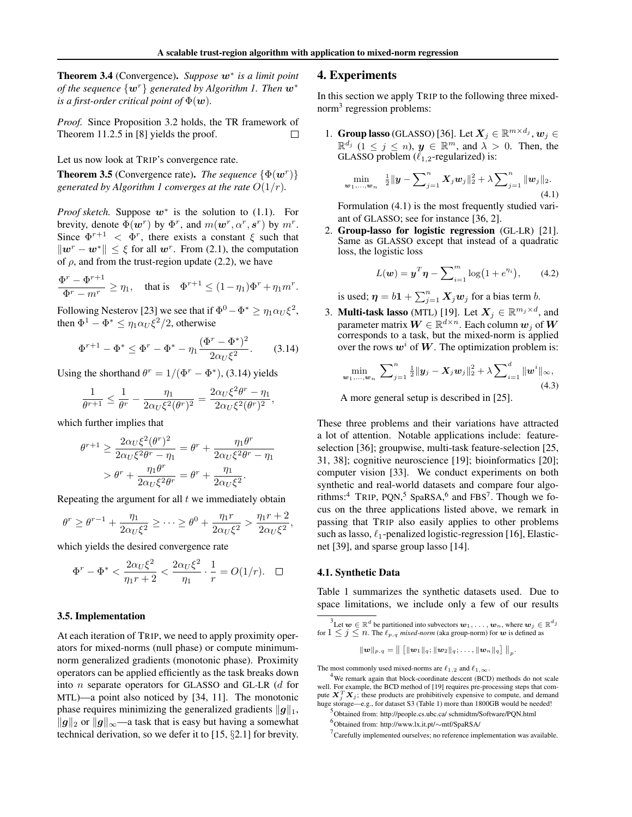Theorem 3.4 (Convergence). *Suppose* w<sup>∗</sup> *is a limit point of the sequence*  $\{w^r\}$  *generated by Algorithm 1. Then*  $w^*$ *is a first-order critical point of*  $\Phi(\boldsymbol{w})$ *.* 

*Proof.* Since Proposition 3.2 holds, the TR framework of Theorem 11.2.5 in [8] yields the proof.  $\Box$ 

Let us now look at TRIP's convergence rate.

**Theorem 3.5** (Convergence rate). *The sequence*  $\{\Phi(\mathbf{w}^r)\}$ *generated by Algorithm 1 converges at the rate*  $O(1/r)$ *.* 

*Proof sketch.* Suppose  $w^*$  is the solution to (1.1). For brevity, denote  $\Phi(\mathbf{w}^r)$  by  $\Phi^r$ , and  $m(\mathbf{w}^r, \alpha^r, \mathbf{s}^r)$  by  $m^r$ . Since  $\Phi^{r+1} < \Phi^r$ , there exists a constant  $\xi$  such that  $\|\mathbf{w}^r - \mathbf{w}^*\| \leq \xi$  for all  $\mathbf{w}^r$ . From (2.1), the computation of  $\rho$ , and from the trust-region update (2.2), we have

$$
\frac{\Phi^r - \Phi^{r+1}}{\Phi^r - m^r} \ge \eta_1, \quad \text{that is} \quad \Phi^{r+1} \le (1 - \eta_1)\Phi^r + \eta_1 m^r.
$$

Following Nesterov [23] we see that if  $\Phi^0 - \Phi^* \ge \eta_1 \alpha_U \xi^2$ , then  $\Phi^1 - \Phi^* \le \eta_1 \alpha_U \xi^2/2$ , otherwise

$$
\Phi^{r+1} - \Phi^* \le \Phi^r - \Phi^* - \eta_1 \frac{(\Phi^r - \Phi^*)^2}{2\alpha_U \xi^2}.
$$
 (3.14)

Using the shorthand  $\theta^r = 1/(\Phi^r - \Phi^*),$  (3.14) yields

$$
\frac{1}{\theta^{r+1}} \le \frac{1}{\theta^r} - \frac{\eta_1}{2\alpha_U \xi^2 (\theta^r)^2} = \frac{2\alpha_U \xi^2 \theta^r - \eta_1}{2\alpha_U \xi^2 (\theta^r)^2},
$$

which further implies that

$$
\theta^{r+1} \ge \frac{2\alpha_U \xi^2 (\theta^r)^2}{2\alpha_U \xi^2 \theta^r - \eta_1} = \theta^r + \frac{\eta_1 \theta^r}{2\alpha_U \xi^2 \theta^r - \eta_1}
$$

$$
> \theta^r + \frac{\eta_1 \theta^r}{2\alpha_U \xi^2 \theta^r} = \theta^r + \frac{\eta_1}{2\alpha_U \xi^2}.
$$

Repeating the argument for all  $t$  we immediately obtain

$$
\theta^r \geq \theta^{r-1} + \frac{\eta_1}{2\alpha_U \xi^2} \geq \cdots \geq \theta^0 + \frac{\eta_1 r}{2\alpha_U \xi^2} > \frac{\eta_1 r + 2}{2\alpha_U \xi^2},
$$

which yields the desired convergence rate

$$
\Phi^r - \Phi^* < \frac{2\alpha_U \xi^2}{\eta_1 r + 2} < \frac{2\alpha_U \xi^2}{\eta_1} \cdot \frac{1}{r} = O(1/r). \quad \Box
$$

#### 3.5. Implementation

At each iteration of TRIP, we need to apply proximity operators for mixed-norms (null phase) or compute minimumnorm generalized gradients (monotonic phase). Proximity operators can be applied efficiently as the task breaks down into n separate operators for GLASSO and GL-LR (d for MTL)—a point also noticed by [34, 11]. The monotonic phase requires minimizing the generalized gradients  $||g||_1$ ,  $||g||_2$  or  $||g||_{\infty}$ —a task that is easy but having a somewhat technical derivation, so we defer it to [15, §2.1] for brevity.

#### 4. Experiments

In this section we apply TRIP to the following three mixednorm<sup>3</sup> regression problems:

1. Group lasso (GLASSO) [36]. Let  $X_j \in \mathbb{R}^{m \times d_j}$ ,  $w_j \in$  $\mathbb{R}^{d_j}$   $(1 \leq j \leq n)$ ,  $\mathbf{y} \in \mathbb{R}^m$ , and  $\lambda > 0$ . Then, the GLASSO problem  $(\ell_{1,2}$ -regularized) is:

$$
\min_{\boldsymbol{w}_1,\dots,\boldsymbol{w}_n} \quad \frac{1}{2} \|\boldsymbol{y} - \sum_{j=1}^n \boldsymbol{X}_j \boldsymbol{w}_j\|_2^2 + \lambda \sum_{j=1}^n \|\boldsymbol{w}_j\|_2. \tag{4.1}
$$

Formulation (4.1) is the most frequently studied variant of GLASSO; see for instance [36, 2].

2. Group-lasso for logistic regression (GL-LR) [21]. Same as GLASSO except that instead of a quadratic loss, the logistic loss

$$
L(w) = y^T \eta - \sum_{i=1}^{m} \log(1 + e^{\eta_i}), \qquad (4.2)
$$

is used;  $\boldsymbol{\eta} = b\mathbf{1} + \sum_{j=1}^n \boldsymbol{X}_j \boldsymbol{w}_j$  for a bias term b.

3. **Multi-task lasso** (MTL) [19]. Let  $X_j \in \mathbb{R}^{m_j \times d}$ , and parameter matrix  $\boldsymbol{W} \in \mathbb{R}^{d \times n}$ . Each column  $\boldsymbol{w}_j$  of  $\boldsymbol{W}$ corresponds to a task, but the mixed-norm is applied over the rows  $w^i$  of W. The optimization problem is:

$$
\min_{\boldsymbol{w}_1,\dots,\boldsymbol{w}_n} \ \sum_{j=1}^n \frac{1}{2} ||\boldsymbol{y}_j - \boldsymbol{X}_j \boldsymbol{w}_j||_2^2 + \lambda \sum_{i=1}^d ||\boldsymbol{w}^i||_{\infty},
$$
\n(4.3)

A more general setup is described in [25].

These three problems and their variations have attracted a lot of attention. Notable applications include: featureselection [36]; groupwise, multi-task feature-selection [25, 31, 38]; cognitive neuroscience [19]; bioinformatics [20]; computer vision [33]. We conduct experiments on both synthetic and real-world datasets and compare four algorithms:<sup>4</sup> TRIP, PQN,<sup>5</sup> SpaRSA,<sup>6</sup> and FBS<sup>7</sup>. Though we focus on the three applications listed above, we remark in passing that TRIP also easily applies to other problems such as lasso,  $\ell_1$ -penalized logistic-regression [16], Elasticnet [39], and sparse group lasso [14].

#### 4.1. Synthetic Data

Table 1 summarizes the synthetic datasets used. Due to space limitations, we include only a few of our results

$$
\|\boldsymbol{w}\|_{p,\,q}=\big\|\left[\|\boldsymbol{w}_1\|_q; \|\boldsymbol{w}_2\|_q; \ldots, \|\boldsymbol{w}_n\|_q\right]\big\|_p
$$

.

The most commonly used mixed-norms are  $\ell_{1,2}$  and  $\ell_{1,\infty}$ .

<sup>&</sup>lt;sup>3</sup>Let  $\bm{w} \in \mathbb{R}^d$  be partitioned into subvectors  $\bm{w}_1, \ldots, \bm{w}_n$ , where  $\bm{w}_j \in \mathbb{R}^{d_j}$ for  $1 \leq j \leq n$ . The  $\ell_{p,q}$  *mixed-norm* (aka group-norm) for w is defined as

<sup>&</sup>lt;sup>4</sup>We remark again that block-coordinate descent (BCD) methods do not scale well. For example, the BCD method of [19] requires pre-processing steps that compute  $X_j^T X_j$ ; these products are prohibitively expensive to compute, and demand huge storage—e.g., for dataset S3 (Table 1) more than 1800GB would be needed!

<sup>5</sup> Obtained from: http://people.cs.ubc.ca/ schmidtm/Software/PQN.html

<sup>6</sup> Obtained from: http://www.lx.it.pt/∼mtf/SpaRSA/

 $7$ Carefully implemented ourselves; no reference implementation was available.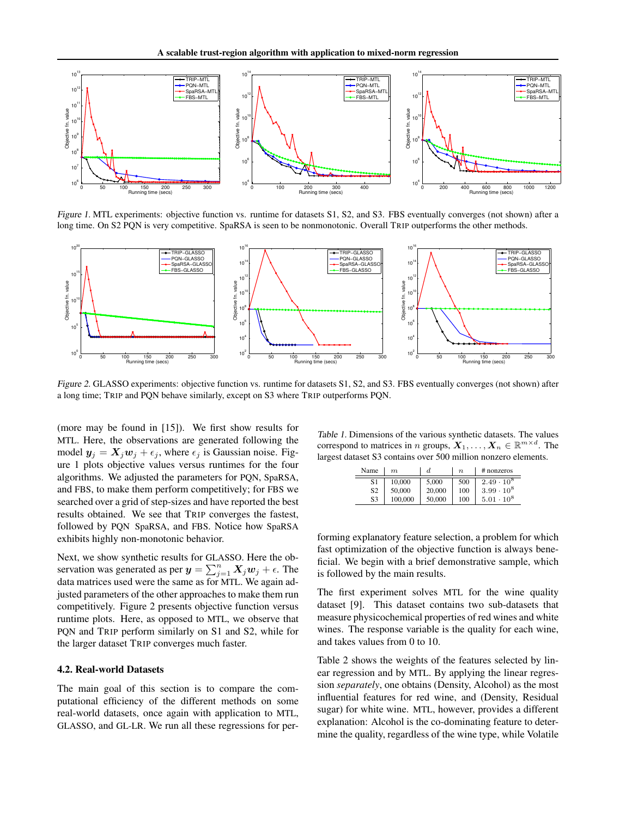

Figure 1. MTL experiments: objective function vs. runtime for datasets S1, S2, and S3. FBS eventually converges (not shown) after a long time. On S2 PQN is very competitive. SpaRSA is seen to be nonmonotonic. Overall TRIP outperforms the other methods.



Figure 2. GLASSO experiments: objective function vs. runtime for datasets S1, S2, and S3. FBS eventually converges (not shown) after a long time; TRIP and PQN behave similarly, except on S3 where TRIP outperforms PQN.

(more may be found in [15]). We first show results for MTL. Here, the observations are generated following the model  $y_j = X_j w_j + \epsilon_j$ , where  $\epsilon_j$  is Gaussian noise. Figure 1 plots objective values versus runtimes for the four algorithms. We adjusted the parameters for PQN, SpaRSA, and FBS, to make them perform competitively; for FBS we searched over a grid of step-sizes and have reported the best results obtained. We see that TRIP converges the fastest, followed by PQN SpaRSA, and FBS. Notice how SpaRSA exhibits highly non-monotonic behavior.

Next, we show synthetic results for GLASSO. Here the observation was generated as per  $y = \sum_{j=1}^{n} X_j w_j + \epsilon$ . The data matrices used were the same as for MTL. We again adjusted parameters of the other approaches to make them run competitively. Figure 2 presents objective function versus runtime plots. Here, as opposed to MTL, we observe that PQN and TRIP perform similarly on S1 and S2, while for the larger dataset TRIP converges much faster.

#### 4.2. Real-world Datasets

The main goal of this section is to compare the computational efficiency of the different methods on some real-world datasets, once again with application to MTL, GLASSO, and GL-LR. We run all these regressions for per-

Table 1. Dimensions of the various synthetic datasets. The values correspond to matrices in *n* groups,  $X_1, \ldots, X_n \in \mathbb{R}^{m \times d}$ . The largest dataset S3 contains over 500 million nonzero elements.

| Name | m       | d      | $\boldsymbol{n}$ | $#$ nonzeros      |
|------|---------|--------|------------------|-------------------|
| S1   | 10.000  | 5.000  | 500              | $2.49 \cdot 10^8$ |
| S2   | 50,000  | 20,000 | 100              | $3.99 \cdot 10^8$ |
| S3   | 100,000 | 50,000 | 100              | $.10^{8}$<br>5.01 |

forming explanatory feature selection, a problem for which fast optimization of the objective function is always beneficial. We begin with a brief demonstrative sample, which is followed by the main results.

The first experiment solves MTL for the wine quality dataset [9]. This dataset contains two sub-datasets that measure physicochemical properties of red wines and white wines. The response variable is the quality for each wine, and takes values from 0 to 10.

Table 2 shows the weights of the features selected by linear regression and by MTL. By applying the linear regression *separately*, one obtains (Density, Alcohol) as the most influential features for red wine, and (Density, Residual sugar) for white wine. MTL, however, provides a different explanation: Alcohol is the co-dominating feature to determine the quality, regardless of the wine type, while Volatile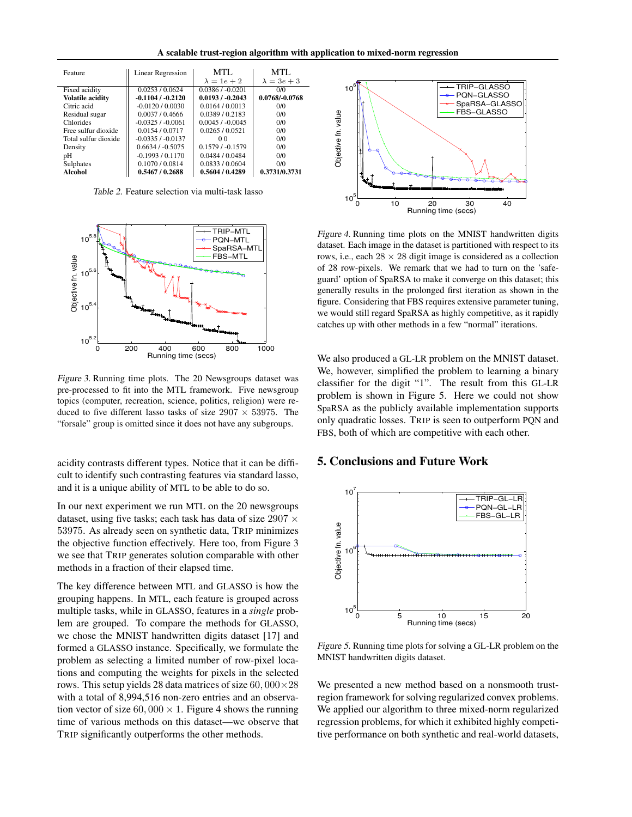A scalable trust-region algorithm with application to mixed-norm regression

| Feature                 | <b>Linear Regression</b> | MTL                | MTL.               |
|-------------------------|--------------------------|--------------------|--------------------|
|                         |                          | $\lambda = 1e + 2$ | $\lambda = 3e + 3$ |
| Fixed acidity           | 0.0253 / 0.0624          | $0.0386 / -0.0201$ | 0/0                |
| <b>Volatile acidity</b> | $-0.1104/ -0.2120$       | $0.0193/ -0.2043$  | 0.0768/-0.0768     |
| Citric acid             | $-0.0120/0.0030$         | 0.0164/0.0013      | 0/0                |
| Residual sugar          | 0.0037/0.4666            | 0.0389/0.2183      | 0/0                |
| Chlorides               | $-0.0325/0.0061$         | 0.0045/0.0045      | 0/0                |
| Free sulfur dioxide     | 0.0154 / 0.0717          | 0.0265/0.0521      | 0/0                |
| Total sulfur dioxide    | $-0.0335/0.0137$         | 00                 | 0/0                |
| Density                 | 0.6634/0.5075            | $0.1579/ -0.1579$  | 0/0                |
| pH                      | $-0.1993/0.1170$         | 0.0484 / 0.0484    | 0/0                |
| Sulphates               | 0.1070 / 0.0814          | 0.0833 / 0.0604    | 0/0                |
| Alcohol                 | 0.5467 / 0.2688          | 0.5604/0.4289      | 0.3731/0.3731      |

Table 2. Feature selection via multi-task lasso



Figure 3. Running time plots. The 20 Newsgroups dataset was pre-processed to fit into the MTL framework. Five newsgroup topics (computer, recreation, science, politics, religion) were reduced to five different lasso tasks of size  $2907 \times 53975$ . The "forsale" group is omitted since it does not have any subgroups.

acidity contrasts different types. Notice that it can be difficult to identify such contrasting features via standard lasso, and it is a unique ability of MTL to be able to do so.

In our next experiment we run MTL on the 20 newsgroups dataset, using five tasks; each task has data of size  $2907 \times$ 53975. As already seen on synthetic data, TRIP minimizes the objective function effectively. Here too, from Figure 3 we see that TRIP generates solution comparable with other methods in a fraction of their elapsed time.

The key difference between MTL and GLASSO is how the grouping happens. In MTL, each feature is grouped across multiple tasks, while in GLASSO, features in a *single* problem are grouped. To compare the methods for GLASSO, we chose the MNIST handwritten digits dataset [17] and formed a GLASSO instance. Specifically, we formulate the problem as selecting a limited number of row-pixel locations and computing the weights for pixels in the selected rows. This setup yields 28 data matrices of size  $60,000\times28$ with a total of 8,994,516 non-zero entries and an observation vector of size  $60,000 \times 1$ . Figure 4 shows the running time of various methods on this dataset—we observe that TRIP significantly outperforms the other methods.



Figure 4. Running time plots on the MNIST handwritten digits dataset. Each image in the dataset is partitioned with respect to its rows, i.e., each  $28 \times 28$  digit image is considered as a collection of 28 row-pixels. We remark that we had to turn on the 'safeguard' option of SpaRSA to make it converge on this dataset; this generally results in the prolonged first iteration as shown in the figure. Considering that FBS requires extensive parameter tuning, we would still regard SpaRSA as highly competitive, as it rapidly catches up with other methods in a few "normal" iterations.

We also produced a GL-LR problem on the MNIST dataset. We, however, simplified the problem to learning a binary classifier for the digit "1". The result from this GL-LR problem is shown in Figure 5. Here we could not show SpaRSA as the publicly available implementation supports only quadratic losses. TRIP is seen to outperform PQN and FBS, both of which are competitive with each other.

## 5. Conclusions and Future Work



Figure 5. Running time plots for solving a GL-LR problem on the MNIST handwritten digits dataset.

We presented a new method based on a nonsmooth trustregion framework for solving regularized convex problems. We applied our algorithm to three mixed-norm regularized regression problems, for which it exhibited highly competitive performance on both synthetic and real-world datasets,